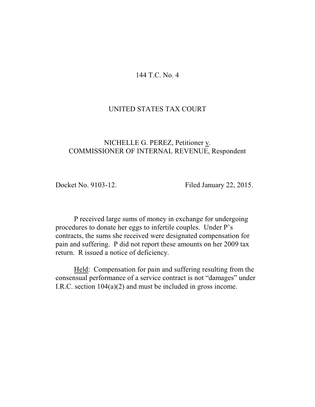## 144 T.C. No. 4

## UNITED STATES TAX COURT

# NICHELLE G. PEREZ, Petitioner v. COMMISSIONER OF INTERNAL REVENUE, Respondent

Docket No. 9103-12. Filed January 22, 2015.

P received large sums of money in exchange for undergoing procedures to donate her eggs to infertile couples. Under P's contracts, the sums she received were designated compensation for pain and suffering. P did not report these amounts on her 2009 tax return. R issued a notice of deficiency.

Held: Compensation for pain and suffering resulting from the consensual performance of a service contract is not "damages" under I.R.C. section 104(a)(2) and must be included in gross income.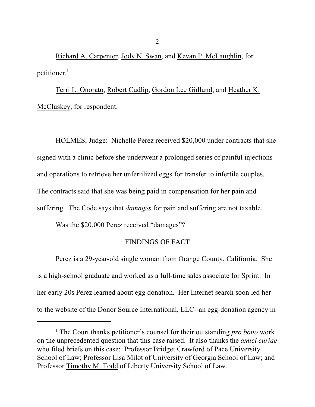Richard A. Carpenter, Jody N. Swan, and Kevan P. McLaughlin, for petitioner. $<sup>1</sup>$ </sup>

Terri L. Onorato, Robert Cudlip, Gordon Lee Gidlund, and Heather K. McCluskey, for respondent.

HOLMES, Judge: Nichelle Perez received \$20,000 under contracts that she signed with a clinic before she underwent a prolonged series of painful injections and operations to retrieve her unfertilized eggs for transfer to infertile couples. The contracts said that she was being paid in compensation for her pain and suffering. The Code says that *damages* for pain and suffering are not taxable.

Was the \$20,000 Perez received "damages"?

## FINDINGS OF FACT

Perez is a 29-year-old single woman from Orange County, California. She is a high-school graduate and worked as a full-time sales associate for Sprint. In her early 20s Perez learned about egg donation. Her Internet search soon led her to the website of the Donor Source International, LLC--an egg-donation agency in

<sup>&</sup>lt;sup>1</sup> The Court thanks petitioner's counsel for their outstanding *pro bono* work on the unprecedented question that this case raised. It also thanks the *amici curiae* who filed briefs on this case: Professor Bridget Crawford of Pace University School of Law; Professor Lisa Milot of University of Georgia School of Law; and Professor Timothy M. Todd of Liberty University School of Law.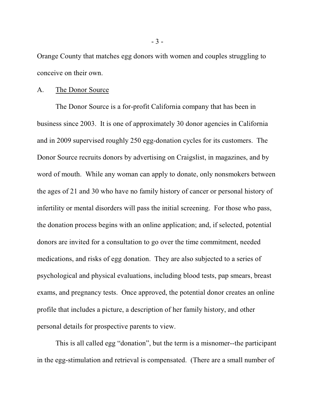Orange County that matches egg donors with women and couples struggling to conceive on their own.

#### A. The Donor Source

The Donor Source is a for-profit California company that has been in business since 2003. It is one of approximately 30 donor agencies in California and in 2009 supervised roughly 250 egg-donation cycles for its customers. The Donor Source recruits donors by advertising on Craigslist, in magazines, and by word of mouth. While any woman can apply to donate, only nonsmokers between the ages of 21 and 30 who have no family history of cancer or personal history of infertility or mental disorders will pass the initial screening. For those who pass, the donation process begins with an online application; and, if selected, potential donors are invited for a consultation to go over the time commitment, needed medications, and risks of egg donation. They are also subjected to a series of psychological and physical evaluations, including blood tests, pap smears, breast exams, and pregnancy tests. Once approved, the potential donor creates an online profile that includes a picture, a description of her family history, and other personal details for prospective parents to view.

This is all called egg "donation", but the term is a misnomer--the participant in the egg-stimulation and retrieval is compensated. (There are a small number of

- 3 -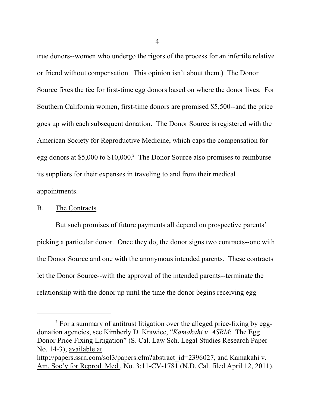true donors--women who undergo the rigors of the process for an infertile relative or friend without compensation. This opinion isn't about them.) The Donor Source fixes the fee for first-time egg donors based on where the donor lives. For Southern California women, first-time donors are promised \$5,500--and the price goes up with each subsequent donation. The Donor Source is registered with the American Society for Reproductive Medicine, which caps the compensation for egg donors at \$5,000 to  $$10,000$ .<sup>2</sup> The Donor Source also promises to reimburse its suppliers for their expenses in traveling to and from their medical appointments.

### B. The Contracts

But such promises of future payments all depend on prospective parents' picking a particular donor. Once they do, the donor signs two contracts--one with the Donor Source and one with the anonymous intended parents. These contracts let the Donor Source--with the approval of the intended parents--terminate the relationship with the donor up until the time the donor begins receiving egg-

 $\degree$  For a summary of antitrust litigation over the alleged price-fixing by eggdonation agencies, see Kimberly D. Krawiec, "*Kamakahi v. ASRM*: The Egg Donor Price Fixing Litigation" (S. Cal. Law Sch. Legal Studies Research Paper No. 14-3), available at http://papers.ssrn.com/sol3/papers.cfm?abstract\_id=2396027, and Kamakahi v. Am. Soc'y for Reprod. Med., No. 3:11-CV-1781 (N.D. Cal. filed April 12, 2011).

<sup>- 4 -</sup>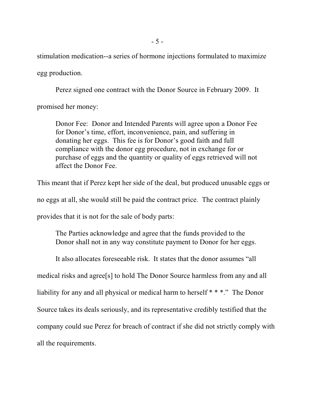stimulation medication--a series of hormone injections formulated to maximize egg production.

Perez signed one contract with the Donor Source in February 2009. It

promised her money:

Donor Fee: Donor and Intended Parents will agree upon a Donor Fee for Donor's time, effort, inconvenience, pain, and suffering in donating her eggs. This fee is for Donor's good faith and full compliance with the donor egg procedure, not in exchange for or purchase of eggs and the quantity or quality of eggs retrieved will not affect the Donor Fee.

This meant that if Perez kept her side of the deal, but produced unusable eggs or no eggs at all, she would still be paid the contract price. The contract plainly provides that it is not for the sale of body parts:

The Parties acknowledge and agree that the funds provided to the Donor shall not in any way constitute payment to Donor for her eggs.

It also allocates foreseeable risk. It states that the donor assumes "all

medical risks and agree[s] to hold The Donor Source harmless from any and all

liability for any and all physical or medical harm to herself \* \* \*." The Donor

Source takes its deals seriously, and its representative credibly testified that the

company could sue Perez for breach of contract if she did not strictly comply with

all the requirements.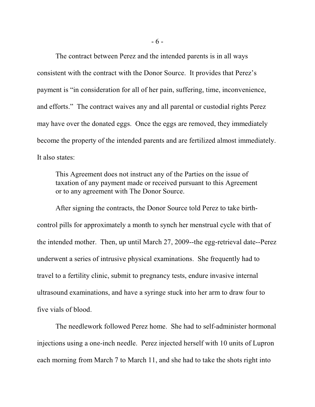The contract between Perez and the intended parents is in all ways consistent with the contract with the Donor Source. It provides that Perez's payment is "in consideration for all of her pain, suffering, time, inconvenience, and efforts." The contract waives any and all parental or custodial rights Perez may have over the donated eggs. Once the eggs are removed, they immediately become the property of the intended parents and are fertilized almost immediately. It also states:

This Agreement does not instruct any of the Parties on the issue of taxation of any payment made or received pursuant to this Agreement or to any agreement with The Donor Source.

After signing the contracts, the Donor Source told Perez to take birthcontrol pills for approximately a month to synch her menstrual cycle with that of the intended mother. Then, up until March 27, 2009--the egg-retrieval date--Perez underwent a series of intrusive physical examinations. She frequently had to travel to a fertility clinic, submit to pregnancy tests, endure invasive internal ultrasound examinations, and have a syringe stuck into her arm to draw four to five vials of blood.

The needlework followed Perez home. She had to self-administer hormonal injections using a one-inch needle. Perez injected herself with 10 units of Lupron each morning from March 7 to March 11, and she had to take the shots right into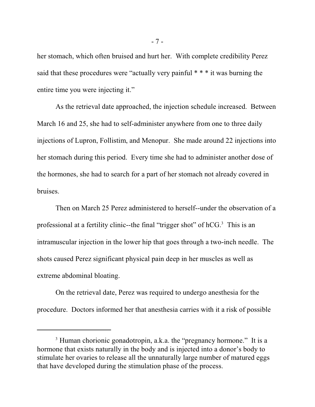her stomach, which often bruised and hurt her. With complete credibility Perez said that these procedures were "actually very painful \* \* \* it was burning the entire time you were injecting it."

As the retrieval date approached, the injection schedule increased. Between March 16 and 25, she had to self-administer anywhere from one to three daily injections of Lupron, Follistim, and Menopur. She made around 22 injections into her stomach during this period. Every time she had to administer another dose of the hormones, she had to search for a part of her stomach not already covered in bruises.

Then on March 25 Perez administered to herself--under the observation of a professional at a fertility clinic--the final "trigger shot" of  $hCG<sup>3</sup>$ . This is an intramuscular injection in the lower hip that goes through a two-inch needle. The shots caused Perez significant physical pain deep in her muscles as well as extreme abdominal bloating.

On the retrieval date, Perez was required to undergo anesthesia for the procedure. Doctors informed her that anesthesia carries with it a risk of possible

- 7 -

<sup>&</sup>lt;sup>3</sup> Human chorionic gonadotropin, a.k.a. the "pregnancy hormone." It is a hormone that exists naturally in the body and is injected into a donor's body to stimulate her ovaries to release all the unnaturally large number of matured eggs that have developed during the stimulation phase of the process.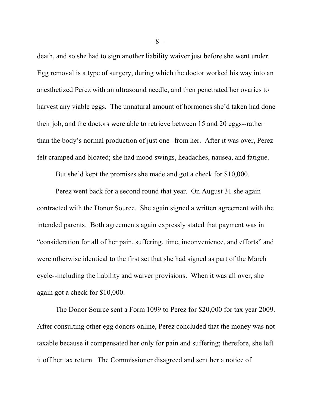death, and so she had to sign another liability waiver just before she went under. Egg removal is a type of surgery, during which the doctor worked his way into an anesthetized Perez with an ultrasound needle, and then penetrated her ovaries to harvest any viable eggs. The unnatural amount of hormones she'd taken had done their job, and the doctors were able to retrieve between 15 and 20 eggs--rather than the body's normal production of just one--from her. After it was over, Perez felt cramped and bloated; she had mood swings, headaches, nausea, and fatigue.

But she'd kept the promises she made and got a check for \$10,000.

Perez went back for a second round that year. On August 31 she again contracted with the Donor Source. She again signed a written agreement with the intended parents. Both agreements again expressly stated that payment was in "consideration for all of her pain, suffering, time, inconvenience, and efforts" and were otherwise identical to the first set that she had signed as part of the March cycle--including the liability and waiver provisions. When it was all over, she again got a check for \$10,000.

The Donor Source sent a Form 1099 to Perez for \$20,000 for tax year 2009. After consulting other egg donors online, Perez concluded that the money was not taxable because it compensated her only for pain and suffering; therefore, she left it off her tax return. The Commissioner disagreed and sent her a notice of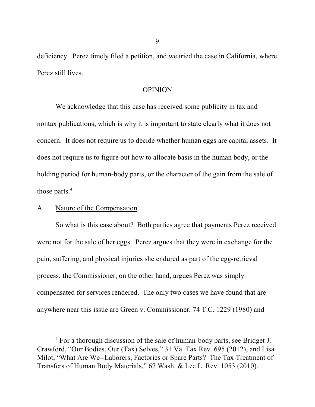deficiency. Perez timely filed a petition, and we tried the case in California, where Perez still lives.

#### OPINION

We acknowledge that this case has received some publicity in tax and nontax publications, which is why it is important to state clearly what it does not concern. It does not require us to decide whether human eggs are capital assets. It does not require us to figure out how to allocate basis in the human body, or the holding period for human-body parts, or the character of the gain from the sale of those parts.<sup>4</sup>

#### A. Nature of the Compensation

So what is this case about? Both parties agree that payments Perez received were not for the sale of her eggs. Perez argues that they were in exchange for the pain, suffering, and physical injuries she endured as part of the egg-retrieval process; the Commissioner, on the other hand, argues Perez was simply compensated for services rendered. The only two cases we have found that are anywhere near this issue are Green v. Commissioner, 74 T.C. 1229 (1980) and

<sup>&</sup>lt;sup>4</sup> For a thorough discussion of the sale of human-body parts, see Bridget J. Crawford, "Our Bodies, Our (Tax) Selves," 31 Va. Tax Rev. 695 (2012), and Lisa Milot, "What Are We--Laborers, Factories or Spare Parts? The Tax Treatment of Transfers of Human Body Materials," 67 Wash. & Lee L. Rev. 1053 (2010).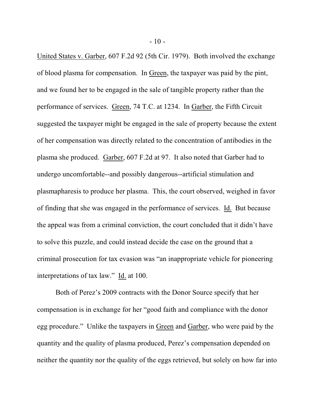United States v. Garber, 607 F.2d 92 (5th Cir. 1979). Both involved the exchange of blood plasma for compensation. In Green, the taxpayer was paid by the pint, and we found her to be engaged in the sale of tangible property rather than the performance of services. Green, 74 T.C. at 1234. In Garber, the Fifth Circuit suggested the taxpayer might be engaged in the sale of property because the extent of her compensation was directly related to the concentration of antibodies in the plasma she produced. Garber, 607 F.2d at 97. It also noted that Garber had to undergo uncomfortable--and possibly dangerous--artificial stimulation and plasmapharesis to produce her plasma. This, the court observed, weighed in favor of finding that she was engaged in the performance of services. Id. But because the appeal was from a criminal conviction, the court concluded that it didn't have to solve this puzzle, and could instead decide the case on the ground that a criminal prosecution for tax evasion was "an inappropriate vehicle for pioneering interpretations of tax law." Id. at 100.

Both of Perez's 2009 contracts with the Donor Source specify that her compensation is in exchange for her "good faith and compliance with the donor egg procedure." Unlike the taxpayers in Green and Garber, who were paid by the quantity and the quality of plasma produced, Perez's compensation depended on neither the quantity nor the quality of the eggs retrieved, but solely on how far into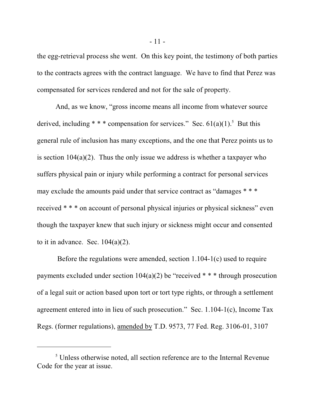the egg-retrieval process she went. On this key point, the testimony of both parties to the contracts agrees with the contract language. We have to find that Perez was compensated for services rendered and not for the sale of property.

And, as we know, "gross income means all income from whatever source derived, including \* \* \* compensation for services." Sec.  $61(a)(1)$ .<sup>5</sup> But this general rule of inclusion has many exceptions, and the one that Perez points us to is section  $104(a)(2)$ . Thus the only issue we address is whether a taxpayer who suffers physical pain or injury while performing a contract for personal services may exclude the amounts paid under that service contract as "damages \* \* \* received \* \* \* on account of personal physical injuries or physical sickness" even though the taxpayer knew that such injury or sickness might occur and consented to it in advance. Sec.  $104(a)(2)$ .

 Before the regulations were amended, section 1.104-1(c) used to require payments excluded under section  $104(a)(2)$  be "received \* \* \* through prosecution of a legal suit or action based upon tort or tort type rights, or through a settlement agreement entered into in lieu of such prosecution." Sec. 1.104-1(c), Income Tax Regs. (former regulations), amended by T.D. 9573, 77 Fed. Reg. 3106-01, 3107

 $<sup>5</sup>$  Unless otherwise noted, all section reference are to the Internal Revenue</sup> Code for the year at issue.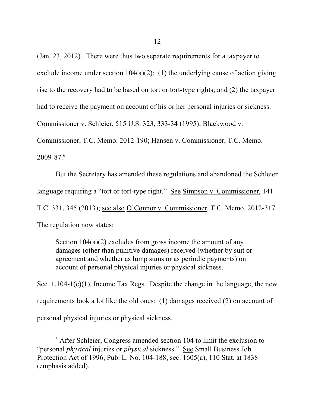(Jan. 23, 2012). There were thus two separate requirements for a taxpayer to exclude income under section  $104(a)(2)$ : (1) the underlying cause of action giving rise to the recovery had to be based on tort or tort-type rights; and (2) the taxpayer had to receive the payment on account of his or her personal injuries or sickness. Commissioner v. Schleier, 515 U.S. 323, 333-34 (1995); Blackwood v. Commissioner, T.C. Memo. 2012-190; Hansen v. Commissioner, T.C. Memo.

 $2009 - 87.<sup>6</sup>$ 

But the Secretary has amended these regulations and abandoned the Schleier language requiring a "tort or tort-type right." See Simpson v. Commissioner, 141 T.C. 331, 345 (2013); see also O'Connor v. Commissioner, T.C. Memo. 2012-317. The regulation now states:

Section  $104(a)(2)$  excludes from gross income the amount of any damages (other than punitive damages) received (whether by suit or agreement and whether as lump sums or as periodic payments) on account of personal physical injuries or physical sickness.

Sec. 1.104-1(c)(1), Income Tax Regs. Despite the change in the language, the new requirements look a lot like the old ones: (1) damages received (2) on account of personal physical injuries or physical sickness.

 $6$  After Schleier, Congress amended section 104 to limit the exclusion to "personal *physical* injuries or *physical* sickness." See Small Business Job Protection Act of 1996, Pub. L. No. 104-188, sec. 1605(a), 110 Stat. at 1838 (emphasis added).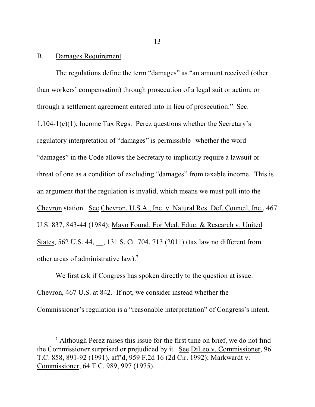#### B. Damages Requirement

The regulations define the term "damages" as "an amount received (other than workers' compensation) through prosecution of a legal suit or action, or through a settlement agreement entered into in lieu of prosecution." Sec. 1.104-1(c)(1), Income Tax Regs. Perez questions whether the Secretary's regulatory interpretation of "damages" is permissible--whether the word "damages" in the Code allows the Secretary to implicitly require a lawsuit or threat of one as a condition of excluding "damages" from taxable income. This is an argument that the regulation is invalid, which means we must pull into the Chevron station. See Chevron, U.S.A., Inc. v. Natural Res. Def. Council, Inc., 467 U.S. 837, 843-44 (1984); Mayo Found. For Med. Educ. & Research v. United States, 562 U.S. 44, \_\_, 131 S. Ct. 704, 713 (2011) (tax law no different from other areas of administrative law).<sup>7</sup>

We first ask if Congress has spoken directly to the question at issue. Chevron, 467 U.S. at 842. If not, we consider instead whether the Commissioner's regulation is a "reasonable interpretation" of Congress's intent.

 $\alpha$ <sup>7</sup> Although Perez raises this issue for the first time on brief, we do not find the Commissioner surprised or prejudiced by it. See DiLeo v. Commissioner, 96 T.C. 858, 891-92 (1991), aff'd, 959 F.2d 16 (2d Cir. 1992); Markwardt v. Commissioner, 64 T.C. 989, 997 (1975).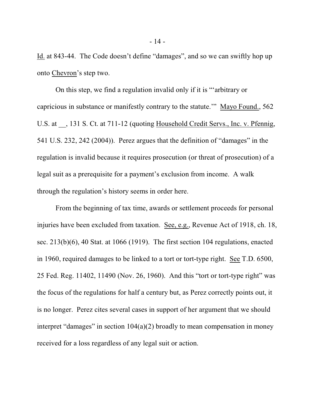Id. at 843-44. The Code doesn't define "damages", and so we can swiftly hop up onto Chevron's step two.

On this step, we find a regulation invalid only if it is "'arbitrary or capricious in substance or manifestly contrary to the statute.'" Mayo Found., 562 U.S. at  $\,$ , 131 S. Ct. at 711-12 (quoting Household Credit Servs., Inc. v. Pfennig, 541 U.S. 232, 242 (2004)). Perez argues that the definition of "damages" in the regulation is invalid because it requires prosecution (or threat of prosecution) of a legal suit as a prerequisite for a payment's exclusion from income. A walk through the regulation's history seems in order here.

From the beginning of tax time, awards or settlement proceeds for personal injuries have been excluded from taxation. See, e.g., Revenue Act of 1918, ch. 18, sec. 213(b)(6), 40 Stat. at 1066 (1919). The first section 104 regulations, enacted in 1960, required damages to be linked to a tort or tort-type right. See T.D. 6500, 25 Fed. Reg. 11402, 11490 (Nov. 26, 1960). And this "tort or tort-type right" was the focus of the regulations for half a century but, as Perez correctly points out, it is no longer. Perez cites several cases in support of her argument that we should interpret "damages" in section 104(a)(2) broadly to mean compensation in money received for a loss regardless of any legal suit or action.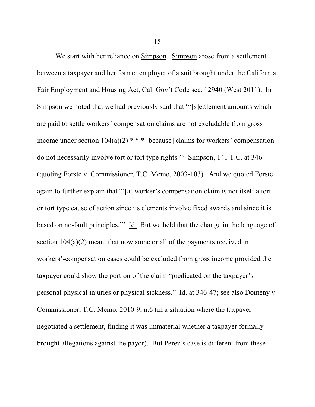We start with her reliance on Simpson. Simpson arose from a settlement between a taxpayer and her former employer of a suit brought under the California Fair Employment and Housing Act, Cal. Gov't Code sec. 12940 (West 2011). In Simpson we noted that we had previously said that "'[s]ettlement amounts which are paid to settle workers' compensation claims are not excludable from gross income under section  $104(a)(2)$ <sup>\*</sup> \* \* [because] claims for workers' compensation do not necessarily involve tort or tort type rights.'" Simpson, 141 T.C. at 346 (quoting Forste v. Commissioner, T.C. Memo. 2003-103). And we quoted Forste again to further explain that "'[a] worker's compensation claim is not itself a tort or tort type cause of action since its elements involve fixed awards and since it is based on no-fault principles.'" Id. But we held that the change in the language of section  $104(a)(2)$  meant that now some or all of the payments received in workers'-compensation cases could be excluded from gross income provided the taxpayer could show the portion of the claim "predicated on the taxpayer's personal physical injuries or physical sickness." Id. at 346-47; see also Domeny v. Commissioner, T.C. Memo. 2010-9, n.6 (in a situation where the taxpayer negotiated a settlement, finding it was immaterial whether a taxpayer formally brought allegations against the payor). But Perez's case is different from these--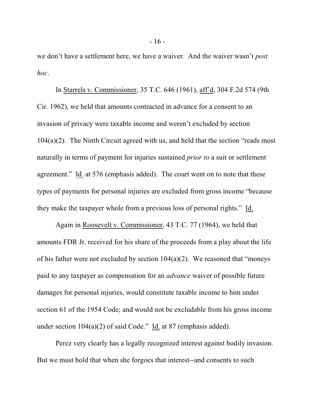we don't have a settlement here, we have a waiver. And the waiver wasn't *post hoc*.

In Starrels v. Commissioner, 35 T.C. 646 (1961), aff'd, 304 F.2d 574 (9th Cir. 1962), we held that amounts contracted in advance for a consent to an invasion of privacy were taxable income and weren't excluded by section 104(a)(2). The Ninth Circuit agreed with us, and held that the section "reads most naturally in terms of payment for injuries sustained *prior to* a suit or settlement agreement." Id. at 576 (emphasis added). The court went on to note that these types of payments for personal injuries are excluded from gross income "because they make the taxpayer whole from a previous loss of personal rights." Id.

Again in Roosevelt v. Commissioner, 43 T.C. 77 (1964), we held that amounts FDR Jr. received for his share of the proceeds from a play about the life of his father were not excluded by section  $104(a)(2)$ . We reasoned that "moneys" paid to any taxpayer as compensation for an *advance* waiver of possible future damages for personal injuries, would constitute taxable income to him under section 61 of the 1954 Code; and would not be excludable from his gross income under section 104(a)(2) of said Code." Id. at 87 (emphasis added).

Perez very clearly has a legally recognized interest against bodily invasion. But we must hold that when she forgoes that interest--and consents to such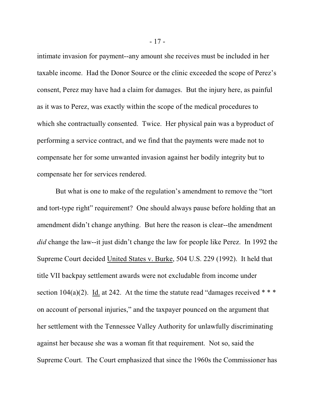intimate invasion for payment--any amount she receives must be included in her taxable income. Had the Donor Source or the clinic exceeded the scope of Perez's consent, Perez may have had a claim for damages. But the injury here, as painful as it was to Perez, was exactly within the scope of the medical procedures to which she contractually consented. Twice. Her physical pain was a byproduct of performing a service contract, and we find that the payments were made not to compensate her for some unwanted invasion against her bodily integrity but to compensate her for services rendered.

But what is one to make of the regulation's amendment to remove the "tort and tort-type right" requirement? One should always pause before holding that an amendment didn't change anything. But here the reason is clear--the amendment *did* change the law--it just didn't change the law for people like Perez. In 1992 the Supreme Court decided United States v. Burke, 504 U.S. 229 (1992). It held that title VII backpay settlement awards were not excludable from income under section 104(a)(2). Id. at 242. At the time the statute read "damages received  $* * *$ on account of personal injuries," and the taxpayer pounced on the argument that her settlement with the Tennessee Valley Authority for unlawfully discriminating against her because she was a woman fit that requirement. Not so, said the Supreme Court. The Court emphasized that since the 1960s the Commissioner has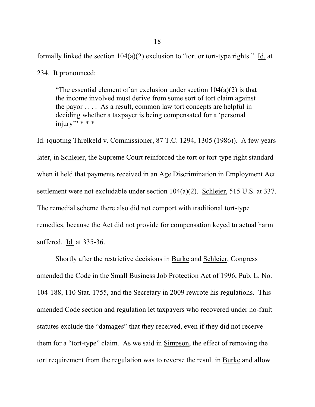formally linked the section  $104(a)(2)$  exclusion to "tort or tort-type rights." Id. at

234. It pronounced:

"The essential element of an exclusion under section  $104(a)(2)$  is that the income involved must derive from some sort of tort claim against the payor . . . . As a result, common law tort concepts are helpful in deciding whether a taxpayer is being compensated for a 'personal  $\overline{\text{injury}}$ " \* \* \*

Id. (quoting Threlkeld v. Commissioner, 87 T.C. 1294, 1305 (1986)). A few years later, in Schleier, the Supreme Court reinforced the tort or tort-type right standard when it held that payments received in an Age Discrimination in Employment Act settlement were not excludable under section 104(a)(2). Schleier, 515 U.S. at 337. The remedial scheme there also did not comport with traditional tort-type remedies, because the Act did not provide for compensation keyed to actual harm suffered. Id. at 335-36.

Shortly after the restrictive decisions in Burke and Schleier, Congress amended the Code in the Small Business Job Protection Act of 1996, Pub. L. No. 104-188, 110 Stat. 1755, and the Secretary in 2009 rewrote his regulations. This amended Code section and regulation let taxpayers who recovered under no-fault statutes exclude the "damages" that they received, even if they did not receive them for a "tort-type" claim. As we said in Simpson, the effect of removing the tort requirement from the regulation was to reverse the result in Burke and allow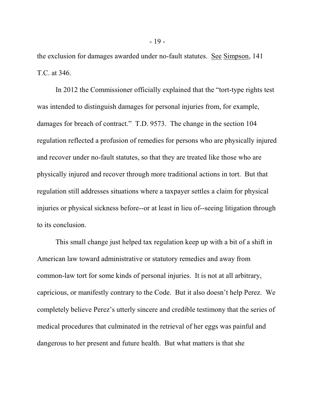the exclusion for damages awarded under no-fault statutes. See Simpson, 141 T.C. at 346.

In 2012 the Commissioner officially explained that the "tort-type rights test was intended to distinguish damages for personal injuries from, for example, damages for breach of contract." T.D. 9573. The change in the section 104 regulation reflected a profusion of remedies for persons who are physically injured and recover under no-fault statutes, so that they are treated like those who are physically injured and recover through more traditional actions in tort. But that regulation still addresses situations where a taxpayer settles a claim for physical injuries or physical sickness before--or at least in lieu of--seeing litigation through to its conclusion.

This small change just helped tax regulation keep up with a bit of a shift in American law toward administrative or statutory remedies and away from common-law tort for some kinds of personal injuries. It is not at all arbitrary, capricious, or manifestly contrary to the Code. But it also doesn't help Perez. We completely believe Perez's utterly sincere and credible testimony that the series of medical procedures that culminated in the retrieval of her eggs was painful and dangerous to her present and future health. But what matters is that she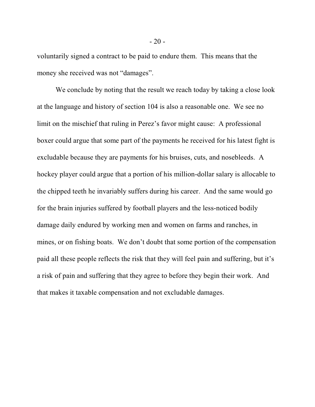voluntarily signed a contract to be paid to endure them. This means that the money she received was not "damages".

We conclude by noting that the result we reach today by taking a close look at the language and history of section 104 is also a reasonable one. We see no limit on the mischief that ruling in Perez's favor might cause: A professional boxer could argue that some part of the payments he received for his latest fight is excludable because they are payments for his bruises, cuts, and nosebleeds. A hockey player could argue that a portion of his million-dollar salary is allocable to the chipped teeth he invariably suffers during his career. And the same would go for the brain injuries suffered by football players and the less-noticed bodily damage daily endured by working men and women on farms and ranches, in mines, or on fishing boats. We don't doubt that some portion of the compensation paid all these people reflects the risk that they will feel pain and suffering, but it's a risk of pain and suffering that they agree to before they begin their work. And that makes it taxable compensation and not excludable damages.